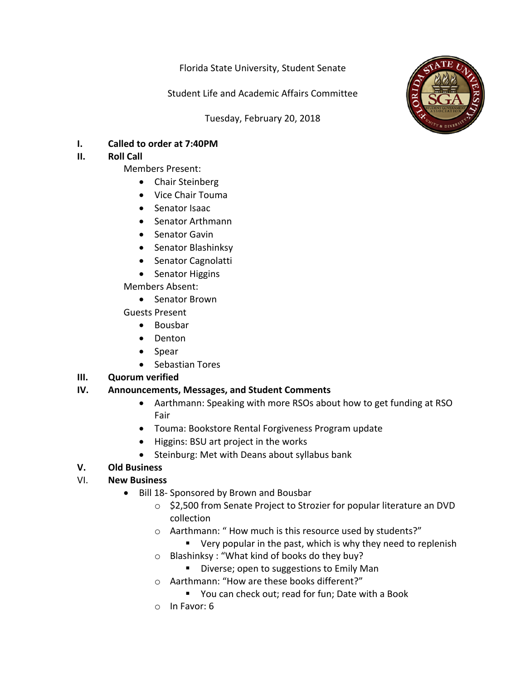Florida State University, Student Senate

Student Life and Academic Affairs Committee

Tuesday, February 20, 2018



**I.** Called to order at 7:40PM

# **II.** Roll Call

- Members Present:
	- Chair Steinberg
	- Vice Chair Touma
	- Senator Isaac
	- Senator Arthmann
	- Senator Gavin
	- Senator Blashinksy
	- Senator Cagnolatti
	- Senator Higgins

## Members Absent:

- Senator Brown
- Guests Present
	- Bousbar
	- Denton
	- Spear
	- Sebastian Tores

# **III.** Quorum verified

# **IV.** Announcements, Messages, and Student Comments

- Aarthmann: Speaking with more RSOs about how to get funding at RSO Fair
- Touma: Bookstore Rental Forgiveness Program update
- Higgins: BSU art project in the works
- Steinburg: Met with Deans about syllabus bank

# **V. Old Business**

# VI. **New Business**

- Bill 18- Sponsored by Brown and Bousbar
	- o \$2,500 from Senate Project to Strozier for popular literature an DVD collection
	- o Aarthmann: "How much is this resource used by students?"
		- $\blacksquare$  Very popular in the past, which is why they need to replenish
	- $\circ$  Blashinksy: "What kind of books do they buy?
		- Diverse; open to suggestions to Emily Man
	- o Aarthmann: "How are these books different?"
		- You can check out; read for fun; Date with a Book
	- $\circ$  In Favor: 6